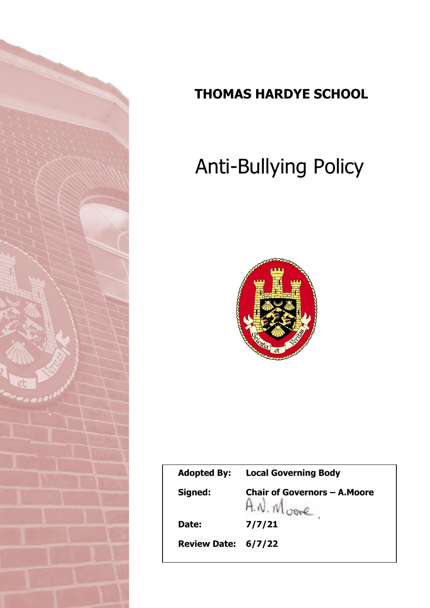

# **THOMAS HARDYE SCHOOL**

# **A** Anti-Bullying Policy



| <b>Adopted By:</b>  | <b>Local Governing Body</b>                            |
|---------------------|--------------------------------------------------------|
| Signed:             | <b>Chair of Governors - A. Moore</b><br>$A.W.M_{core}$ |
| Date:               | 7/7/21                                                 |
| Review Date: 6/7/22 |                                                        |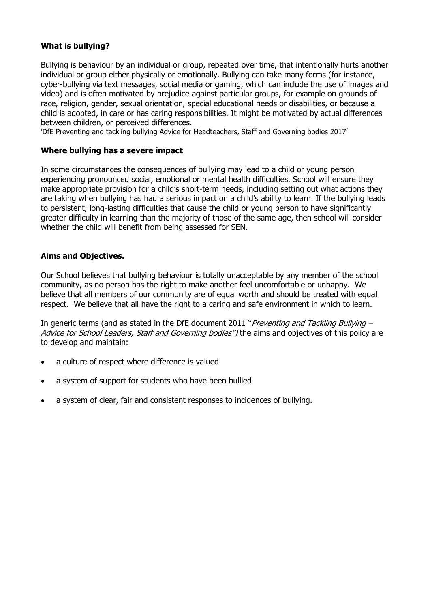# **What is bullying?**

Bullying is behaviour by an individual or group, repeated over time, that intentionally hurts another individual or group either physically or emotionally. Bullying can take many forms (for instance, cyber-bullying via text messages, social media or gaming, which can include the use of images and video) and is often motivated by prejudice against particular groups, for example on grounds of race, religion, gender, sexual orientation, special educational needs or disabilities, or because a child is adopted, in care or has caring responsibilities. It might be motivated by actual differences between children, or perceived differences.

'DfE Preventing and tackling bullying Advice for Headteachers, Staff and Governing bodies 2017'

#### **Where bullying has a severe impact**

In some circumstances the consequences of bullying may lead to a child or young person experiencing pronounced social, emotional or mental health difficulties. School will ensure they make appropriate provision for a child's short-term needs, including setting out what actions they are taking when bullying has had a serious impact on a child's ability to learn. If the bullying leads to persistent, long-lasting difficulties that cause the child or young person to have significantly greater difficulty in learning than the majority of those of the same age, then school will consider whether the child will benefit from being assessed for SEN.

#### **Aims and Objectives.**

Our School believes that bullying behaviour is totally unacceptable by any member of the school community, as no person has the right to make another feel uncomfortable or unhappy. We believe that all members of our community are of equal worth and should be treated with equal respect. We believe that all have the right to a caring and safe environment in which to learn.

In generic terms (and as stated in the DfE document 2011 "*Preventing and Tackling Bullying –* Advice for School Leaders, Staff and Governing bodies") the aims and objectives of this policy are to develop and maintain:

- a culture of respect where difference is valued
- a system of support for students who have been bullied
- a system of clear, fair and consistent responses to incidences of bullying.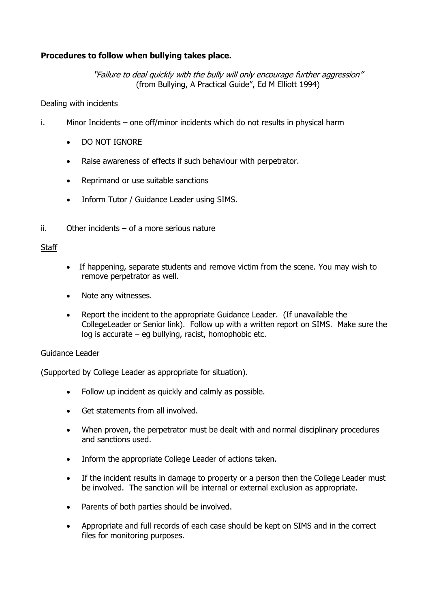# **Procedures to follow when bullying takes place.**

"Failure to deal quickly with the bully will only encourage further aggression" (from Bullying, A Practical Guide", Ed M Elliott 1994)

#### Dealing with incidents

- i. Minor Incidents one off/minor incidents which do not results in physical harm
	- DO NOT IGNORE
	- Raise awareness of effects if such behaviour with perpetrator.
	- Reprimand or use suitable sanctions
	- Inform Tutor / Guidance Leader using SIMS.
- ii. Other incidents of a more serious nature

#### **Staff**

- If happening, separate students and remove victim from the scene. You may wish to remove perpetrator as well.
- Note any witnesses.
- Report the incident to the appropriate Guidance Leader. (If unavailable the CollegeLeader or Senior link). Follow up with a written report on SIMS. Make sure the log is accurate – eg bullying, racist, homophobic etc.

#### Guidance Leader

(Supported by College Leader as appropriate for situation).

- Follow up incident as quickly and calmly as possible.
- Get statements from all involved.
- When proven, the perpetrator must be dealt with and normal disciplinary procedures and sanctions used.
- Inform the appropriate College Leader of actions taken.
- If the incident results in damage to property or a person then the College Leader must be involved. The sanction will be internal or external exclusion as appropriate.
- Parents of both parties should be involved.
- Appropriate and full records of each case should be kept on SIMS and in the correct files for monitoring purposes.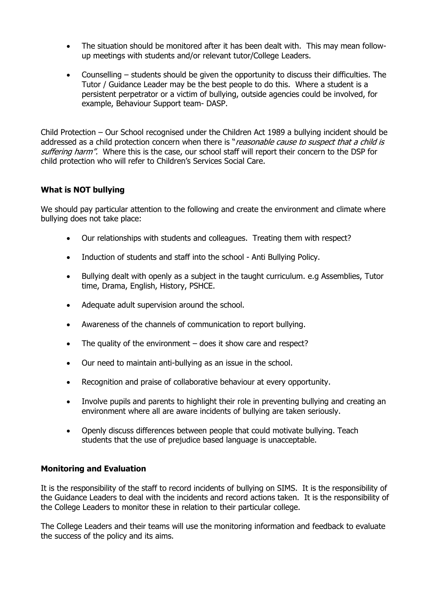- The situation should be monitored after it has been dealt with. This may mean followup meetings with students and/or relevant tutor/College Leaders.
- Counselling students should be given the opportunity to discuss their difficulties. The Tutor / Guidance Leader may be the best people to do this. Where a student is a persistent perpetrator or a victim of bullying, outside agencies could be involved, for example, Behaviour Support team- DASP.

Child Protection – Our School recognised under the Children Act 1989 a bullying incident should be addressed as a child protection concern when there is "*reasonable cause to suspect that a child is* suffering harm". Where this is the case, our school staff will report their concern to the DSP for child protection who will refer to Children's Services Social Care.

## **What is NOT bullying**

We should pay particular attention to the following and create the environment and climate where bullying does not take place:

- Our relationships with students and colleagues. Treating them with respect?
- Induction of students and staff into the school Anti Bullying Policy.
- Bullying dealt with openly as a subject in the taught curriculum. e.g Assemblies, Tutor time, Drama, English, History, PSHCE.
- Adequate adult supervision around the school.
- Awareness of the channels of communication to report bullying.
- The quality of the environment does it show care and respect?
- Our need to maintain anti-bullying as an issue in the school.
- Recognition and praise of collaborative behaviour at every opportunity.
- Involve pupils and parents to highlight their role in preventing bullying and creating an environment where all are aware incidents of bullying are taken seriously.
- Openly discuss differences between people that could motivate bullying. Teach students that the use of prejudice based language is unacceptable.

## **Monitoring and Evaluation**

It is the responsibility of the staff to record incidents of bullying on SIMS. It is the responsibility of the Guidance Leaders to deal with the incidents and record actions taken. It is the responsibility of the College Leaders to monitor these in relation to their particular college.

The College Leaders and their teams will use the monitoring information and feedback to evaluate the success of the policy and its aims.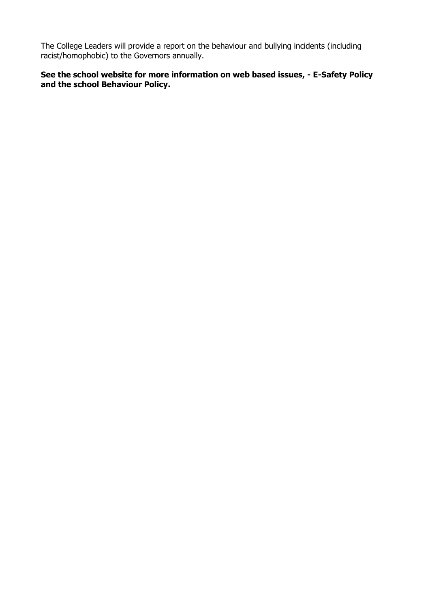The College Leaders will provide a report on the behaviour and bullying incidents (including racist/homophobic) to the Governors annually.

# **See the school website for more information on web based issues, - E-Safety Policy and the school Behaviour Policy.**